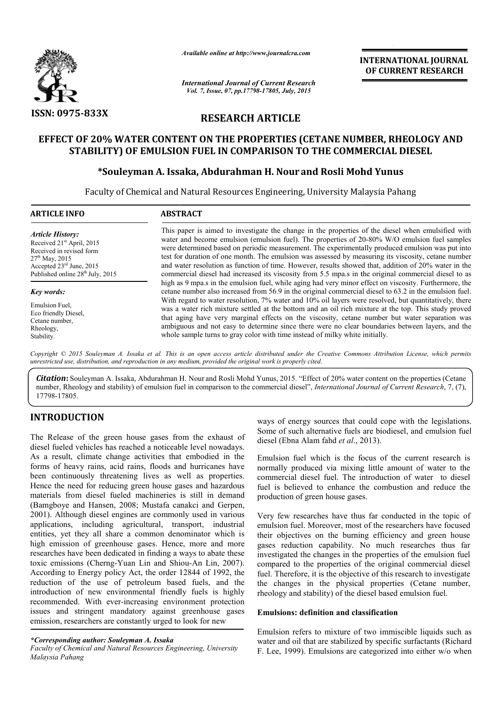

*Available online at http://www.journalcra.com*

*International Journal of Current Research Vol. 7, Issue, 07, pp.17798-17805, July, 2015*

**INTERNATIONAL INTERNATIONAL JOURNAL OF CURRENT RESEARCH** 

# **RESEARCH ARTICLE**

## **EFFECT OF 20% WATER CONTENT ON THE PROPERTIES (CETANE NUMBER, RHEOLOGY AND THE NUMBER, RHEOLOGY STABILITY) OF EMULSION FUEL IN COMPARISON TO THE COMMERCIAL DIESEL DIESEL**

## **\*Souleyman A. Issaka, Abdurahman H. Nour Souleyman and Rosli Mohd Yunus**

Faculty of Chemical and Natural Resources Engineering, University Malaysia Pahang  $\overline{a}$ 

### **ABSTRACT**

*Article History:* Received 21<sup>st</sup> April, 2015 Received in revised form  $27<sup>th</sup>$  May, 2015 Accepted 23rd June, 2015 Published online  $28^{th}$  July, 2015

#### *Key words:*

Emulsion Fuel, Eco friendly Diesel, Cetane number, Rheology, Stability.

This paper is aimed to investigate the change in the properties of the diesel when emulsified with This paper is aimed to investigate the change in the properties of the diesel when emulsified with water and become emulsion (emulsion fuel). The properties of 20-80% W/O emulsion fuel samples were determined based on periodic measurement. The experimentally produced emulsion was put into test for duration of one month. The emulsion was assessed by measuring its viscosity, cetane number and water resolution as function of time. However, results showed that, addition of 20% water in the commercial diesel had increased its viscosity from 5.5 mpa.s in the original commercial diesel to as high as 9 mpa.s in the emulsion fuel, while aging had very minor effect on viscosity. Furthermore, the cetane number also increased from 56.9 in the original commercial diesel With regard to water resolution, 7% water and 10% oil layers were resolved, but quantitatively, there was a water rich mixture settled at the bottom and an oil rich mixture at the top. This study proved that aging have very marginal effects on the viscosity, cetane number but water separation was ambiguous and not easy to determine since there were no clear boundaries between layers, and the whole sample turns to gray color with time instead of milky white initially. or duration of one month. The emulsion was assessed by measuring its viscosity, cetane number<br>water resolution as function of time. However, results showed that, addition of 20% water in the<br>nercial diesel had increased it lution, 7% water and 10% oil layers were resolved, but quantitativel settled at the bottom and an oil rich mixture at the top. This study rginal effects on the viscosity, cetane number but water separation determine since **INTERNATIONAL JOURNAL**<br>
OF CURRENT RESEARCH<br>
OF CURRENT RESEARCH<br>
Treh<br>
Treh<br>
Treh<br>
Treh<br>
Treh<br>
Treh<br>
Treh COMMERCIAL DIESEL<br>
and Rosli Mohd Yunus<br>
10. University Malaysia Pahang<br>
in the properties of 20-80% WO emulsion

Copyright © 2015 Souleyman A. Issaka et al. This is an open access article distributed under the Creative Commons Attribution License, which permits *unrestricted use, distribution, and reproduction in any medium, provided the original work is properly cited.*

Citation: Souleyman A. Issaka, Abdurahman H. Nour and Rosli Mohd Yunus, 2015. "Effect of 20% water content on the properties (Cetane number, Rheology and stability) of emulsion fuel in comparison to the commercial diesel", *International Journal of Current Research*, 7, (7), 17798-17805.

## **INTRODUCTION**

The Release of the green house gases from the exhaust of diesel fueled vehicles has reached a noticeable level nowadays. As a result, climate change activities that embodied in the forms of heavy rains, acid rains, floods and hurricanes have been continuously threatening lives as well as properties. Hence the need for reducing green house gases and hazardous materials from diesel fueled machineries is still in demand (Bamgboye and Hansen, 2008; Mustafa canakci and Gerpen, 2001). Although diesel engines are commonly used in various applications, including agricultural, transport, industrial entities, yet they all share a common denominator which is high emission of greenhouse gases. Hence, more and more researches have been dedicated in finding a ways to abat toxic emissions (Cherng-Yuan Lin and Shiou-An Lin, 2007). According to Energy policy Act, the order 12844 of 1992, the reduction of the use of petroleum based fuels, and the introduction of new environmental friendly fuels is highly recommended. With ever-increasing environment protection issues and stringent mandatory against greenhouse gases emission, researchers are constantly urged to look for new been continuously threatening lives as well as properties.<br>Hence the need for reducing green house gases and hazardous<br>materials from diesel fueled machineries is still in demand<br>Bamgboye and Hansen, 2008; Mustafa canakci

ways of energy sources that could cope with the legislations. Some of such alternative fuels are biodiesel, and emulsion fuel diesel (Ebna Alam fahd *et al*., 2013 t could cope with the<br>els are biodiesel, and e<br>'., 2013).

Emulsion fuel which is the focus of the current research is normally produced via mixing little amount of water to the commercial diesel fuel. The introduction of water to diesel fuel is believed to enhance the combustion and reduce the production of green house gases. on fuel which is the focus of the current research is<br>y produced via mixing little amount of water to the<br>cial diesel fuel. The introduction of water to diesel<br>believed to enhance the combustion and reduce the

Very few researches have thus far conducted in the topic of emulsion fuel. Moreover, most of the researchers have focused their objectives on the burning efficiency and green house gases reduction capability. No much researches thus far investigated the changes in the properties of the emulsion fuel compared to the properties of the original commercial diesel fuel. Therefore, it is the objective of this research to investigate the changes in the physical properties (Cetane number, rheology and stability) of the diesel based emulsion fuel. emulsion fuel. Moreover, most of the researchers have focused their objectives on the burning efficiency and green house gases reduction capability. No much researches thus far investigated the changes in the properties of the properties of the original commercial diesel<br>
ie, it is the objective of this research to investigate<br>
in the physical properties (Cetane number,<br>
stability) of the diesel based emulsion fuel.<br>
lefinition and classific

### **Emulsions: definition and classification**

Emulsion refers to mixture of two immiscible liquids such as water and oil that are stabilized by specific surfactants (Richard F. Lee, 1999). Emulsions are categorized into either w/o when

*<sup>\*</sup>Corresponding author: Souleyman A. Issaka*

*Faculty of Chemical and Natural Resources Engineering, University Malaysia Pahang*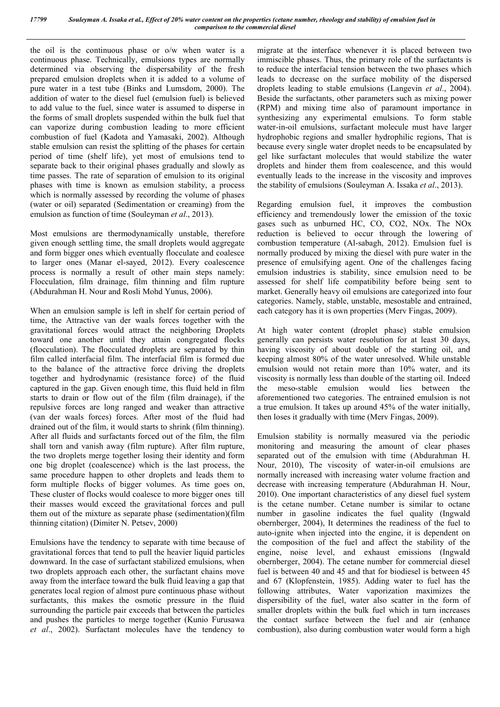the oil is the continuous phase or o/w when water is a continuous phase. Technically, emulsions types are normally determined via observing the dispersability of the fresh prepared emulsion droplets when it is added to a volume of pure water in a test tube (Binks and Lumsdom, 2000). The addition of water to the diesel fuel (emulsion fuel) is believed to add value to the fuel, since water is assumed to disperse in the forms of small droplets suspended within the bulk fuel that can vaporize during combustion leading to more efficient combustion of fuel (Kadota and Yamasaki, 2002). Although stable emulsion can resist the splitting of the phases for certain period of time (shelf life), yet most of emulsions tend to separate back to their original phases gradually and slowly as time passes. The rate of separation of emulsion to its original phases with time is known as emulsion stability, a process which is normally assessed by recording the volume of phases (water or oil) separated (Sedimentation or creaming) from the emulsion as function of time (Souleyman *et al*., 2013).

Most emulsions are thermodynamically unstable, therefore given enough settling time, the small droplets would aggregate and form bigger ones which eventually flocculate and coalesce to larger ones (Manar el-sayed, 2012). Every coalescence process is normally a result of other main steps namely: Flocculation, film drainage, film thinning and film rupture (Abdurahman H. Nour and Rosli Mohd Yunus, 2006).

When an emulsion sample is left in shelf for certain period of time, the Attractive van der waals forces together with the gravitational forces would attract the neighboring Droplets toward one another until they attain congregated flocks (flocculation). The flocculated droplets are separated by thin film called interfacial film. The interfacial film is formed due to the balance of the attractive force driving the droplets together and hydrodynamic (resistance force) of the fluid captured in the gap. Given enough time, this fluid held in film starts to drain or flow out of the film (film drainage), if the repulsive forces are long ranged and weaker than attractive (van der waals forces) forces. After most of the fluid had drained out of the film, it would starts to shrink (film thinning). After all fluids and surfactants forced out of the film, the film shall torn and vanish away (film rupture). After film rupture, the two droplets merge together losing their identity and form one big droplet (coalescence) which is the last process, the same procedure happen to other droplets and leads them to form multiple flocks of bigger volumes. As time goes on, These cluster of flocks would coalesce to more bigger ones till their masses would exceed the gravitational forces and pull them out of the mixture as separate phase (sedimentation)(film thinning citation) (Dimiter N. Petsev, 2000)

Emulsions have the tendency to separate with time because of gravitational forces that tend to pull the heavier liquid particles downward. In the case of surfactant stabilized emulsions, when two droplets approach each other, the surfactant chains move away from the interface toward the bulk fluid leaving a gap that generates local region of almost pure continuous phase without surfactants, this makes the osmotic pressure in the fluid surrounding the particle pair exceeds that between the particles and pushes the particles to merge together (Kunio Furusawa *et al*., 2002). Surfactant molecules have the tendency to

migrate at the interface whenever it is placed between two immiscible phases. Thus, the primary role of the surfactants is to reduce the interfacial tension between the two phases which leads to decrease on the surface mobility of the dispersed droplets leading to stable emulsions (Langevin *et al*., 2004). Beside the surfactants, other parameters such as mixing power (RPM) and mixing time also of paramount importance in synthesizing any experimental emulsions. To form stable water-in-oil emulsions, surfactant molecule must have larger hydrophobic regions and smaller hydrophilic regions, That is because every single water droplet needs to be encapsulated by gel like surfactant molecules that would stabilize the water droplets and hinder them from coalescence, and this would eventually leads to the increase in the viscosity and improves the stability of emulsions (Souleyman A. Issaka *et al*., 2013).

Regarding emulsion fuel, it improves the combustion efficiency and tremendously lower the emission of the toxic gases such as unburned HC, CO, CO2, NOx. The NOx reduction is believed to occur through the lowering of combustion temperature (Al-sabagh, 2012). Emulsion fuel is normally produced by mixing the diesel with pure water in the presence of emulsifying agent. One of the challenges facing emulsion industries is stability, since emulsion need to be assessed for shelf life compatibility before being sent to market. Generally heavy oil emulsions are categorized into four categories. Namely, stable, unstable, mesostable and entrained, each category has it is own properties (Merv Fingas, 2009).

At high water content (droplet phase) stable emulsion generally can persists water resolution for at least 30 days, having viscosity of about double of the starting oil, and keeping almost 80% of the water unresolved. While unstable emulsion would not retain more than 10% water, and its viscosity is normally less than double of the starting oil. Indeed the meso-stable emulsion would lies between the aforementioned two categories. The entrained emulsion is not a true emulsion. It takes up around 45% of the water initially, then loses it gradually with time (Merv Fingas, 2009).

Emulsion stability is normally measured via the periodic monitoring and measuring the amount of clear phases separated out of the emulsion with time (Abdurahman H. Nour, 2010), The viscosity of water-in-oil emulsions are normally increased with increasing water volume fraction and decrease with increasing temperature (Abdurahman H. Nour, 2010). One important characteristics of any diesel fuel system is the cetane number. Cetane number is similar to octane number in gasoline indicates the fuel quality (Ingwald obernberger, 2004), It determines the readiness of the fuel to auto-ignite when injected into the engine, it is dependent on the composition of the fuel and affect the stability of the engine, noise level, and exhaust emissions (Ingwald obernberger, 2004). The cetane number for commercial diesel fuel is between 40 and 45 and that for biodiesel is between 45 and 67 (Klopfenstein, 1985). Adding water to fuel has the following attributes, Water vaporization maximizes the dispersibility of the fuel, water also scatter in the form of smaller droplets within the bulk fuel which in turn increases the contact surface between the fuel and air (enhance combustion), also during combustion water would form a high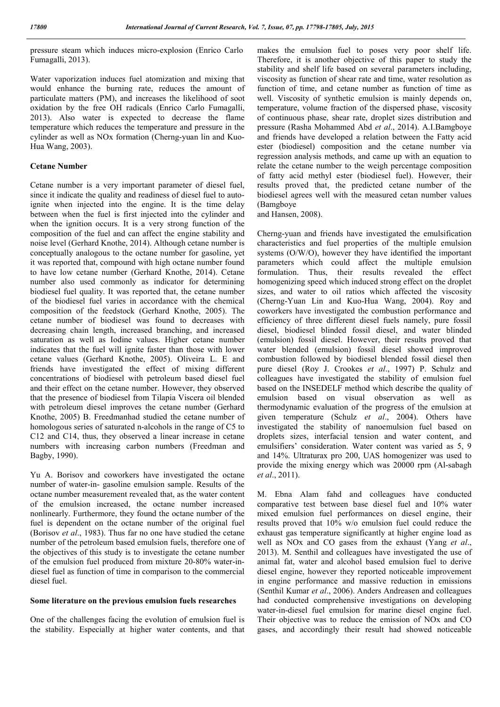pressure steam which induces micro-explosion (Enrico Carlo Fumagalli, 2013).

Water vaporization induces fuel atomization and mixing that would enhance the burning rate, reduces the amount of particulate matters (PM), and increases the likelihood of soot oxidation by the free OH radicals (Enrico Carlo Fumagalli, 2013). Also water is expected to decrease the flame temperature which reduces the temperature and pressure in the cylinder as well as NOx formation (Cherng-yuan lin and Kuo-Hua Wang, 2003).

#### **Cetane Number**

Cetane number is a very important parameter of diesel fuel, since it indicate the quality and readiness of diesel fuel to autoignite when injected into the engine. It is the time delay between when the fuel is first injected into the cylinder and when the ignition occurs. It is a very strong function of the composition of the fuel and can affect the engine stability and noise level (Gerhard Knothe, 2014). Although cetane number is conceptually analogous to the octane number for gasoline, yet it was reported that, compound with high octane number found to have low cetane number (Gerhard Knothe, 2014). Cetane number also used commonly as indicator for determining biodiesel fuel quality. It was reported that, the cetane number of the biodiesel fuel varies in accordance with the chemical composition of the feedstock (Gerhard Knothe, 2005). The cetane number of biodiesel was found to decreases with decreasing chain length, increased branching, and increased saturation as well as Iodine values. Higher cetane number indicates that the fuel will ignite faster than those with lower cetane values (Gerhard Knothe, 2005). Oliveira L. E and friends have investigated the effect of mixing different concentrations of biodiesel with petroleum based diesel fuel and their effect on the cetane number. However, they observed that the presence of biodiesel from Tilapia Viscera oil blended with petroleum diesel improves the cetane number (Gerhard Knothe, 2005) B. Freedmanhad studied the cetane number of homologous series of saturated n-alcohols in the range of C5 to C12 and C14, thus, they observed a linear increase in cetane numbers with increasing carbon numbers (Freedman and Bagby, 1990).

Yu A. Borisov and coworkers have investigated the octane number of water-in- gasoline emulsion sample. Results of the octane number measurement revealed that, as the water content of the emulsion increased, the octane number increased nonlinearly. Furthermore, they found the octane number of the fuel is dependent on the octane number of the original fuel (Borisov *et al*., 1983). Thus far no one have studied the cetane number of the petroleum based emulsion fuels, therefore one of the objectives of this study is to investigate the cetane number of the emulsion fuel produced from mixture 20-80% water-indiesel fuel as function of time in comparison to the commercial diesel fuel.

#### **Some literature on the previous emulsion fuels researches**

One of the challenges facing the evolution of emulsion fuel is the stability. Especially at higher water contents, and that makes the emulsion fuel to poses very poor shelf life. Therefore, it is another objective of this paper to study the stability and shelf life based on several parameters including, viscosity as function of shear rate and time, water resolution as function of time, and cetane number as function of time as well. Viscosity of synthetic emulsion is mainly depends on, temperature, volume fraction of the dispersed phase, viscosity of continuous phase, shear rate, droplet sizes distribution and pressure (Rasha Mohammed Abd *et al*., 2014). A.I.Bamgboye and friends have developed a relation between the Fatty acid ester (biodiesel) composition and the cetane number via regression analysis methods, and came up with an equation to relate the cetane number to the weigh percentage composition of fatty acid methyl ester (biodiesel fuel). However, their results proved that, the predicted cetane number of the biodiesel agrees well with the measured cetan number values (Bamgboye

and Hansen, 2008).

Cherng-yuan and friends have investigated the emulsification characteristics and fuel properties of the multiple emulsion systems (O/W/O), however they have identified the important parameters which could affect the multiple emulsion formulation. Thus, their results revealed the effect homogenizing speed which induced strong effect on the droplet sizes, and water to oil ratios which affected the viscosity (Cherng-Yuan Lin and Kuo-Hua Wang, 2004). Roy and coworkers have investigated the combustion performance and efficiency of three different diesel fuels namely, pure fossil diesel, biodiesel blinded fossil diesel, and water blinded (emulsion) fossil diesel. However, their results proved that water blended (emulsion) fossil diesel showed improved combustion followed by biodiesel blended fossil diesel then pure diesel (Roy J. Crookes *et al*., 1997) P. Schulz and colleagues have investigated the stability of emulsion fuel based on the INSEDELF method which describe the quality of emulsion based on visual observation as well as thermodynamic evaluation of the progress of the emulsion at given temperature (Schulz *et al*., 2004). Others have investigated the stability of nanoemulsion fuel based on droplets sizes, interfacial tension and water content, and emulsifiers' consideration. Water content was varied as 5, 9 and 14%. Ultraturax pro 200, UAS homogenizer was used to provide the mixing energy which was 20000 rpm (Al-sabagh *et al*., 2011).

M. Ebna Alam fahd and colleagues have conducted comparative test between base diesel fuel and 10% water mixed emulsion fuel performances on diesel engine, their results proved that 10% w/o emulsion fuel could reduce the exhaust gas temperature significantly at higher engine load as well as NOx and CO gases from the exhaust (Yang *et al*., 2013). M. Senthil and colleagues have investigated the use of animal fat, water and alcohol based emulsion fuel to derive diesel engine, however they reported noticeable improvement in engine performance and massive reduction in emissions (Senthil Kumar *et al*., 2006). Anders Andreasen and colleagues had conducted comprehensive investigations on developing water-in-diesel fuel emulsion for marine diesel engine fuel. Their objective was to reduce the emission of NOx and CO gases, and accordingly their result had showed noticeable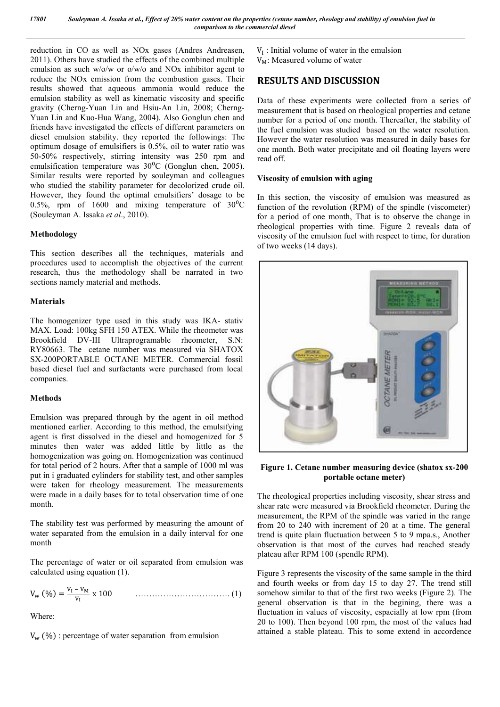reduction in CO as well as NOx gases (Andres Andreasen, 2011). Others have studied the effects of the combined multiple emulsion as such w/o/w or o/w/o and NOx inhibitor agent to reduce the NOx emission from the combustion gases. Their results showed that aqueous ammonia would reduce the emulsion stability as well as kinematic viscosity and specific gravity (Cherng-Yuan Lin and Hsiu-An Lin, 2008; Cherng-Yuan Lin and Kuo-Hua Wang, 2004). Also Gonglun chen and friends have investigated the effects of different parameters on diesel emulsion stability. they reported the followings: The optimum dosage of emulsifiers is 0.5%, oil to water ratio was 50-50% respectively, stirring intensity was 250 rpm and emulsification temperature was  $30^{\circ}$ C (Gonglun chen, 2005). Similar results were reported by souleyman and colleagues who studied the stability parameter for decolorized crude oil. However, they found the optimal emulsifiers' dosage to be 0.5%, rpm of 1600 and mixing temperature of  $30^{\circ}$ C (Souleyman A. Issaka *et al*., 2010).

## **Methodology**

This section describes all the techniques, materials and procedures used to accomplish the objectives of the current research, thus the methodology shall be narrated in two sections namely material and methods.

#### **Materials**

The homogenizer type used in this study was IKA- stativ MAX. Load: 100kg SFH 150 ATEX. While the rheometer was Brookfield DV-III Ultraprogramable rheometer, S.N: RY80663. The cetane number was measured via SHATOX SX-200PORTABLE OCTANE METER. Commercial fossil based diesel fuel and surfactants were purchased from local companies.

#### **Methods**

Emulsion was prepared through by the agent in oil method mentioned earlier. According to this method, the emulsifying agent is first dissolved in the diesel and homogenized for 5 minutes then water was added little by little as the homogenization was going on. Homogenization was continued for total period of 2 hours. After that a sample of 1000 ml was put in i graduated cylinders for stability test, and other samples were taken for rheology measurement. The measurements were made in a daily bases for to total observation time of one month.

The stability test was performed by measuring the amount of water separated from the emulsion in a daily interval for one month

The percentage of water or oil separated from emulsion was calculated using equation (1).

$$
V_{w} (\%) = \frac{v_{I} - v_{M}}{v_{I}} \times 100 \qquad \qquad \dots \dots \dots \dots \dots \dots \dots \dots \dots \dots \dots \tag{1}
$$

Where:

 $V_{\rm w}$  (%) : percentage of water separation from emulsion

 $V_I$ : Initial volume of water in the emulsion  $V_M$ : Measured volume of water

## **RESULTS AND DISCUSSION**

Data of these experiments were collected from a series of measurement that is based on rheological properties and cetane number for a period of one month. Thereafter, the stability of the fuel emulsion was studied based on the water resolution. However the water resolution was measured in daily bases for one month. Both water precipitate and oil floating layers were read off.

### **Viscosity of emulsion with aging**

In this section, the viscosity of emulsion was measured as function of the revolution (RPM) of the spindle (viscometer) for a period of one month, That is to observe the change in rheological properties with time. Figure 2 reveals data of viscosity of the emulsion fuel with respect to time, for duration of two weeks (14 days).



**Figure 1. Cetane number measuring device (shatox sx-200 portable octane meter)**

The rheological properties including viscosity, shear stress and shear rate were measured via Brookfield rheometer. During the measurement, the RPM of the spindle was varied in the range from 20 to 240 with increment of 20 at a time. The general trend is quite plain fluctuation between 5 to 9 mpa.s., Another observation is that most of the curves had reached steady plateau after RPM 100 (spendle RPM).

Figure 3 represents the viscosity of the same sample in the third and fourth weeks or from day 15 to day 27. The trend still somehow similar to that of the first two weeks (Figure 2). The general observation is that in the begining, there was a fluctuation in values of viscosity, espacially at low rpm (from 20 to 100). Then beyond 100 rpm, the most of the values had attained a stable plateau. This to some extend in accordence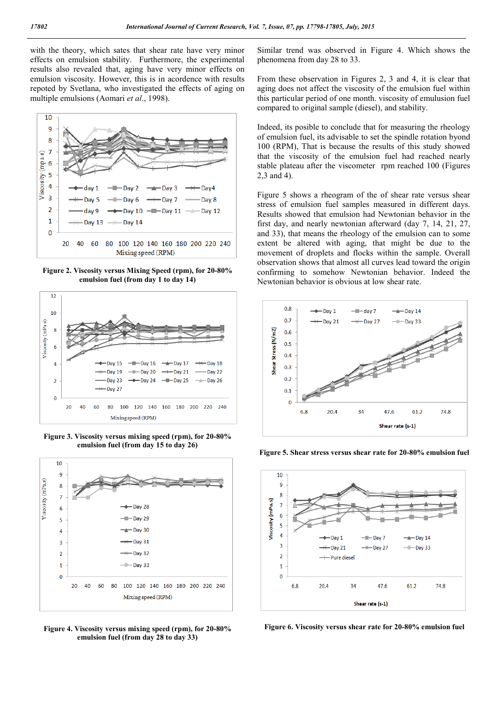with the theory, which sates that shear rate have very minor effects on emulsion stability. Furthermore, the experimental results also revealed that, aging have very minor effects on emulsion viscosity. However, this is in acordence with results repoted by Svetlana, who investigated the effects of aging on multiple emulsions (Aomari *et al*., 1998).



**Figure 2. Viscosity versus Mixing Speed (rpm), for 20-80% emulsion fuel (from day 1 to day 14)**



**Figure 3. Viscosity versus mixing speed (rpm), for 20-80% emulsion fuel (from day 15 to day 26)**



**Figure 4. Viscosity versus mixing speed (rpm), for 20-80% emulsion fuel (from day 28 to day 33)**

Similar trend was observed in Figure 4. Which shows the phenomena from day 28 to 33.

From these observation in Figures 2, 3 and 4, it is clear that aging does not affect the viscosity of the emulsion fuel within this particular period of one month. viscosity of emulusion fuel compared to original sample (diesel), and stability.

Indeed, its posible to conclude that for measuring the rheology of emulsion fuel, its advisable to set the spindle rotation byond 100 (RPM), That is because the results of this study showed that the viscosity of the emulsion fuel had reached nearly stable plateau after the viscometer rpm reached 100 (Figures 2,3 and 4).

Figure 5 shows a rheogram of the of shear rate versus shear stress of emulsion fuel samples measured in different days. Results showed that emulsion had Newtonian behavior in the first day, and nearly newtonian afterward (day 7, 14, 21, 27, and 33), that means the rheology of the emulsion can to some extent be altered with aging, that might be due to the movement of droplets and flocks within the sample. Overall observation shows that almost all curves lead toward the origin confirming to somehow Newtonian behavior. Indeed the Newtonian behavior is obvious at low shear rate.



**Figure 5. Shear stress versus shear rate for 20-80% emulsion fuel**



**Figure 6. Viscosity versus shear rate for 20-80% emulsion fuel**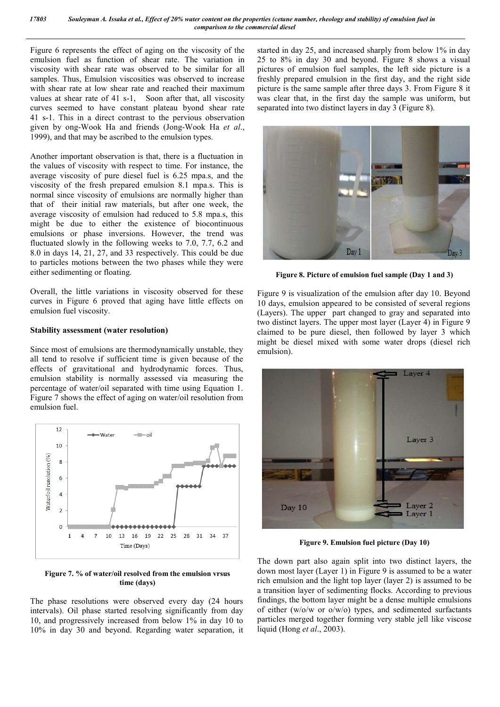Figure 6 represents the effect of aging on the viscosity of the emulsion fuel as function of shear rate. The variation in viscosity with shear rate was observed to be similar for all samples. Thus, Emulsion viscosities was observed to increase with shear rate at low shear rate and reached their maximum values at shear rate of 41 s-1, Soon after that, all viscosity curves seemed to have constant plateau byond shear rate 41 s-1. This in a direct contrast to the pervious observation given by ong-Wook Ha and friends (Jong-Wook Ha *et al*., 1999), and that may be ascribed to the emulsion types.

Another important observation is that, there is a fluctuation in the values of viscosity with respect to time. For instance, the average viscosity of pure diesel fuel is 6.25 mpa.s, and the viscosity of the fresh prepared emulsion 8.1 mpa.s. This is normal since viscosity of emulsions are normally higher than that of their initial raw materials, but after one week, the average viscosity of emulsion had reduced to 5.8 mpa.s, this might be due to either the existence of biocontinuous emulsions or phase inversions. However, the trend was fluctuated slowly in the following weeks to 7.0, 7.7, 6.2 and 8.0 in days 14, 21, 27, and 33 respectively. This could be due to particles motions between the two phases while they were either sedimenting or floating.

Overall, the little variations in viscosity observed for these curves in Figure 6 proved that aging have little effects on emulsion fuel viscosity.

#### **Stability assessment (water resolution)**

Since most of emulsions are thermodynamically unstable, they all tend to resolve if sufficient time is given because of the effects of gravitational and hydrodynamic forces. Thus, emulsion stability is normally assessed via measuring the percentage of water/oil separated with time using Equation 1. Figure 7 shows the effect of aging on water/oil resolution from emulsion fuel.



**Figure 7. % of water/oil resolved from the emulsion vrsus time (days)**

The phase resolutions were observed every day (24 hours intervals). Oil phase started resolving significantly from day 10, and progressively increased from below 1% in day 10 to 10% in day 30 and beyond. Regarding water separation, it started in day 25, and increased sharply from below 1% in day 25 to 8% in day 30 and beyond. Figure 8 shows a visual pictures of emulsion fuel samples, the left side picture is a freshly prepared emulsion in the first day, and the right side picture is the same sample after three days 3. From Figure 8 it was clear that, in the first day the sample was uniform, but separated into two distinct layers in day 3 (Figure 8).



**Figure 8. Picture of emulsion fuel sample (Day 1 and 3)**

Figure 9 is visualization of the emulsion after day 10. Beyond 10 days, emulsion appeared to be consisted of several regions (Layers). The upper part changed to gray and separated into two distinct layers. The upper most layer (Layer 4) in Figure 9 claimed to be pure diesel, then followed by layer 3 which might be diesel mixed with some water drops (diesel rich emulsion).



**Figure 9. Emulsion fuel picture (Day 10)**

The down part also again split into two distinct layers, the down most layer (Layer 1) in Figure 9 is assumed to be a water rich emulsion and the light top layer (layer 2) is assumed to be a transition layer of sedimenting flocks. According to previous findings, the bottom layer might be a dense multiple emulsions of either (w/o/w or o/w/o) types, and sedimented surfactants particles merged together forming very stable jell like viscose liquid (Hong *et al*., 2003).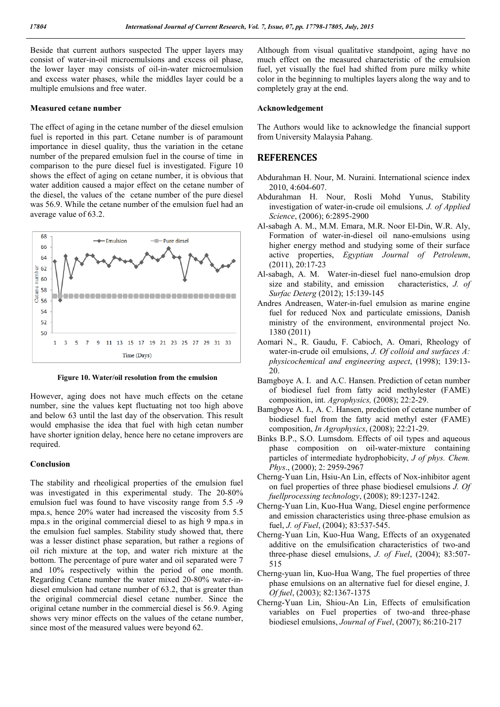Beside that current authors suspected The upper layers may consist of water-in-oil microemulsions and excess oil phase, the lower layer may consists of oil-in-water microemulsion and excess water phases, while the middles layer could be a multiple emulsions and free water.

#### **Measured cetane number**

The effect of aging in the cetane number of the diesel emulsion fuel is reported in this part. Cetane number is of paramount importance in diesel quality, thus the variation in the cetane number of the prepared emulsion fuel in the course of time in comparison to the pure diesel fuel is investigated. Figure 10 shows the effect of aging on cetane number, it is obvious that water addition caused a major effect on the cetane number of the diesel, the values of the cetane number of the pure diesel was 56.9. While the cetane number of the emulsion fuel had an average value of 63.2.



**Figure 10. Water/oil resolution from the emulsion**

However, aging does not have much effects on the cetane number, sine the values kept fluctuating not too high above and below 63 until the last day of the observation. This result would emphasise the idea that fuel with high cetan number have shorter ignition delay, hence here no cetane improvers are required.

#### **Conclusion**

The stability and rheoligical properties of the emulsion fuel was investigated in this experimental study. The 20-80% emulsion fuel was found to have viscosity range from 5.5 -9 mpa.s, hence 20% water had increased the viscosity from 5.5 mpa.s in the original commercial diesel to as high 9 mpa.s in the emulsion fuel samples. Stability study showed that, there was a lesser distinct phase separation, but rather a regions of oil rich mixture at the top, and water rich mixture at the bottom. The percentage of pure water and oil separated were 7 and 10% respectively within the period of one month. Regarding Cetane number the water mixed 20-80% water-indiesel emulsion had cetane number of 63.2, that is greater than the original commercial diesel cetane number. Since the original cetane number in the commercial diesel is 56.9. Aging shows very minor effects on the values of the cetane number, since most of the measured values were beyond 62.

Although from visual qualitative standpoint, aging have no much effect on the measured characteristic of the emulsion fuel, yet visually the fuel had shifted from pure milky white color in the beginning to multiples layers along the way and to completely gray at the end.

#### **Acknowledgement**

The Authors would like to acknowledge the financial support from University Malaysia Pahang.

## **REFERENCES**

- Abdurahman H. Nour, M. Nuraini. International science index 2010, 4:604-607.
- Abdurahman H. Nour, Rosli Mohd Yunus, Stability investigation of water-in-crude oil emulsions*, J. of Applied Science*, (2006); 6:2895-2900
- Al-sabagh A. M., M.M. Emara, M.R. Noor El-Din, W.R. Aly, Formation of water-in-diesel oil nano-emulsions using higher energy method and studying some of their surface active properties, *Egyptian Journal of Petroleum*, (2011), 20:17-23
- Al-sabagh, A. M. Water-in-diesel fuel nano-emulsion drop size and stability, and emission characteristics, *J. of Surfac Deterg* (2012); 15:139-145
- Andres Andreasen, Water-in-fuel emulsion as marine engine fuel for reduced Nox and particulate emissions, Danish ministry of the environment, environmental project No. 1380 (2011)
- Aomari N., R. Gaudu, F. Cabioch, A. Omari, Rheology of water-in-crude oil emulsions, *J. Of colloid and surfaces A: physicochemical and engineering aspect*, (1998); 139:13- 20.
- Bamgboye A. I. and A.C. Hansen. Prediction of cetan number of biodiesel fuel from fatty acid methylester (FAME) composition, int. *Agrophysics,* (2008); 22:2-29.
- Bamgboye A. I., A. C. Hansen, prediction of cetane number of biodiesel fuel from the fatty acid methyl ester (FAME) composition, *In Agrophysics*, (2008); 22:21-29.
- Binks B.P., S.O. Lumsdom. Effects of oil types and aqueous phase composition on oil-water-mixture containing particles of intermediate hydrophobicity, *J of phys. Chem. Phys*., (2000); 2: 2959-2967
- Cherng-Yuan Lin, Hsiu-An Lin, effects of Nox-inhibitor agent on fuel properties of three phase biodiesel emulsions *J. Of fuellprocessing technology*, (2008); 89:1237-1242.
- Cherng-Yuan Lin, Kuo-Hua Wang, Diesel engine performence and emission characteristics using three-phase emulsion as fuel, *J. of Fuel*, (2004); 83:537-545.
- Cherng-Yuan Lin, Kuo-Hua Wang, Effects of an oxygenated additive on the emulsification characteristics of two-and three-phase diesel emulsions, *J. of Fuel*, (2004); 83:507- 515
- Cherng-yuan lin, Kuo-Hua Wang, The fuel properties of three phase emulsions on an alternative fuel for diesel engine, J*. Of fuel*, (2003); 82:1367-1375
- Cherng-Yuan Lin, Shiou-An Lin, Effects of emulsification variables on Fuel properties of two-and three-phase biodiesel emulsions, *Journal of Fuel*, (2007); 86:210-217